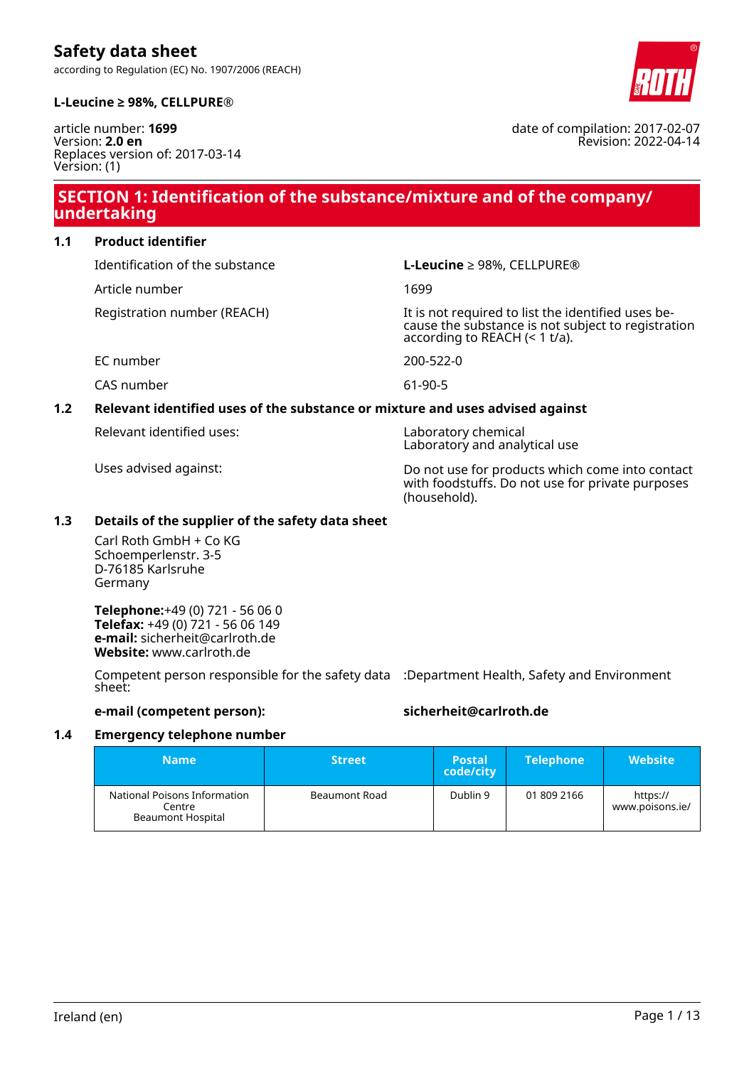according to Regulation (EC) No. 1907/2006 (REACH)



date of compilation: 2017-02-07

Revision: 2022-04-14

### **L-Leucine ≥ 98%, CELLPURE®**

article number: **1699** Version: **2.0 en** Replaces version of: 2017-03-14 Version: (1)

### **SECTION 1: Identification of the substance/mixture and of the company/ undertaking**

**1.1 Product identifier**

Identification of the substance **L-Leucine** ≥ 98%, CELLPURE®

Article number 1699

Registration number (REACH) It is not required to list the identified uses because the substance is not subject to registration according to REACH (< 1 t/a).

EC number 200-522-0

CAS number 61-90-5

# **1.2 Relevant identified uses of the substance or mixture and uses advised against**

Relevant identified uses: Laboratory chemical

Laboratory and analytical use

Uses advised against: Do not use for products which come into contact with foodstuffs. Do not use for private purposes (household).

### **1.3 Details of the supplier of the safety data sheet**

Carl Roth GmbH + Co KG Schoemperlenstr. 3-5 D-76185 Karlsruhe Germany

**Telephone:**+49 (0) 721 - 56 06 0 **Telefax:** +49 (0) 721 - 56 06 149 **e-mail:** sicherheit@carlroth.de **Website:** www.carlroth.de

Competent person responsible for the safety data :Department Health, Safety and Environment sheet:

### **e-mail (competent person): sicherheit@carlroth.de**

### **1.4 Emergency telephone number**

| <b>Name</b>                                                        | <b>Street</b> | <b>Postal</b><br>code/city | <b>Telephone</b> | <b>Website</b>              |
|--------------------------------------------------------------------|---------------|----------------------------|------------------|-----------------------------|
| National Poisons Information<br>Centre<br><b>Beaumont Hospital</b> | Beaumont Road | Dublin 9                   | 01 809 2166      | https://<br>www.poisons.ie/ |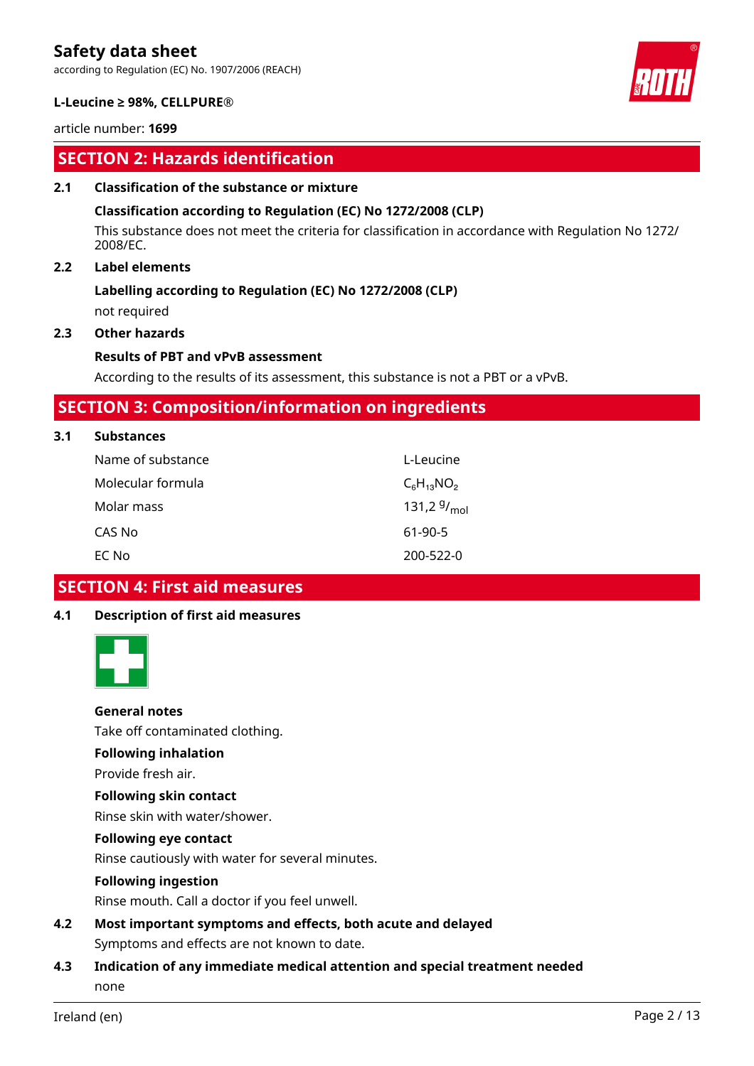according to Regulation (EC) No. 1907/2006 (REACH)



### **L-Leucine ≥ 98%, CELLPURE®**

article number: **1699**

### **SECTION 2: Hazards identification**

### **2.1 Classification of the substance or mixture**

### **Classification according to Regulation (EC) No 1272/2008 (CLP)**

This substance does not meet the criteria for classification in accordance with Regulation No 1272/ 2008/EC.

### **2.2 Label elements**

### **Labelling according to Regulation (EC) No 1272/2008 (CLP)**

not required

### **2.3 Other hazards**

### **Results of PBT and vPvB assessment**

According to the results of its assessment, this substance is not a PBT or a vPvB.

### **SECTION 3: Composition/information on ingredients**

### **3.1 Substances**

| Name of substance | L-Leucine        |
|-------------------|------------------|
|                   |                  |
| Molecular formula | $C_6H_{13}NO_2$  |
| Molar mass        | 131,2 $9/_{mol}$ |
| CAS No            | 61-90-5          |
| EC No             | 200-522-0        |

### **SECTION 4: First aid measures**

### **4.1 Description of first aid measures**



### **General notes**

Take off contaminated clothing.

### **Following inhalation**

Provide fresh air.

### **Following skin contact**

Rinse skin with water/shower.

### **Following eye contact**

Rinse cautiously with water for several minutes.

### **Following ingestion**

Rinse mouth. Call a doctor if you feel unwell.

- **4.2 Most important symptoms and effects, both acute and delayed** Symptoms and effects are not known to date.
- **4.3 Indication of any immediate medical attention and special treatment needed** none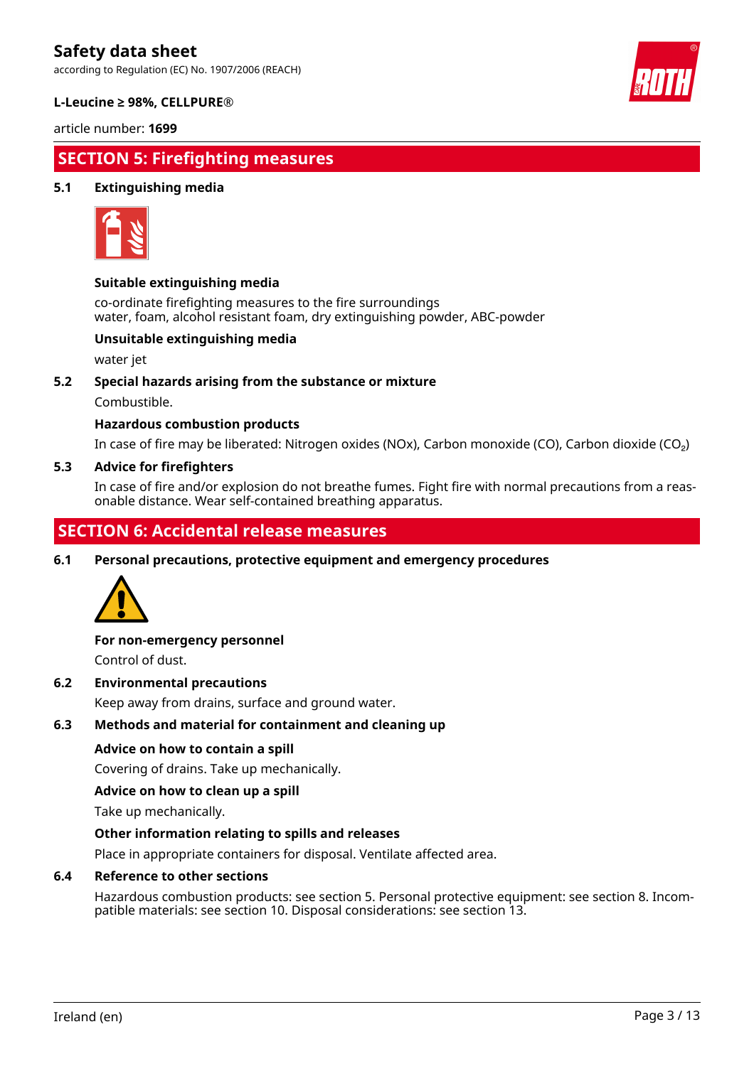according to Regulation (EC) No. 1907/2006 (REACH)



### **L-Leucine ≥ 98%, CELLPURE®**

article number: **1699**

## **SECTION 5: Firefighting measures**

### **5.1 Extinguishing media**



### **Suitable extinguishing media**

co-ordinate firefighting measures to the fire surroundings water, foam, alcohol resistant foam, dry extinguishing powder, ABC-powder

### **Unsuitable extinguishing media**

water jet

### **5.2 Special hazards arising from the substance or mixture**

Combustible.

### **Hazardous combustion products**

In case of fire may be liberated: Nitrogen oxides (NOx), Carbon monoxide (CO), Carbon dioxide (CO₂)

### **5.3 Advice for firefighters**

In case of fire and/or explosion do not breathe fumes. Fight fire with normal precautions from a reasonable distance. Wear self-contained breathing apparatus.

## **SECTION 6: Accidental release measures**

**6.1 Personal precautions, protective equipment and emergency procedures**



### **For non-emergency personnel**

Control of dust.

### **6.2 Environmental precautions**

Keep away from drains, surface and ground water.

### **6.3 Methods and material for containment and cleaning up**

### **Advice on how to contain a spill**

Covering of drains. Take up mechanically.

#### **Advice on how to clean up a spill**

Take up mechanically.

### **Other information relating to spills and releases**

Place in appropriate containers for disposal. Ventilate affected area.

### **6.4 Reference to other sections**

Hazardous combustion products: see section 5. Personal protective equipment: see section 8. Incompatible materials: see section 10. Disposal considerations: see section 13.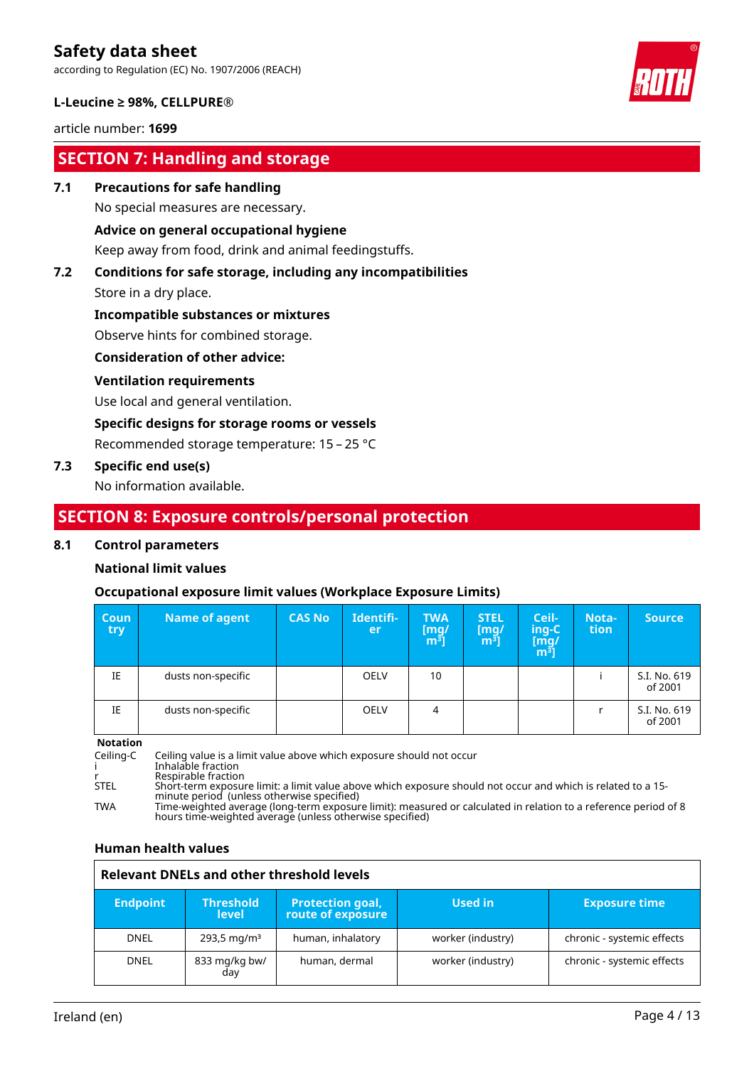according to Regulation (EC) No. 1907/2006 (REACH)



### **L-Leucine ≥ 98%, CELLPURE®**

### article number: **1699**

# **SECTION 7: Handling and storage**

### **7.1 Precautions for safe handling**

No special measures are necessary.

### **Advice on general occupational hygiene**

Keep away from food, drink and animal feedingstuffs.

# **7.2 Conditions for safe storage, including any incompatibilities**

Store in a dry place.

### **Incompatible substances or mixtures**

Observe hints for combined storage.

### **Consideration of other advice:**

### **Ventilation requirements**

Use local and general ventilation.

### **Specific designs for storage rooms or vessels**

Recommended storage temperature: 15 – 25 °C

### **7.3 Specific end use(s)**

No information available.

### **SECTION 8: Exposure controls/personal protection**

### **8.1 Control parameters**

### **National limit values**

### **Occupational exposure limit values (Workplace Exposure Limits)**

| <b>Coun</b><br>try | <b>Name of agent</b> | <b>CAS No</b> | Identifi-<br><b>er</b> | <b>TWA</b><br>[mg/<br>m <sup>ɜ</sup> ] | <b>STEL</b><br>[mg]<br>m <sup>3</sup> | Ceil-<br>ing-C<br>[m̃g/<br>mª] | Nota-<br>tion | <b>Source</b>           |
|--------------------|----------------------|---------------|------------------------|----------------------------------------|---------------------------------------|--------------------------------|---------------|-------------------------|
| IE                 | dusts non-specific   |               | <b>OELV</b>            | 10                                     |                                       |                                |               | S.I. No. 619<br>of 2001 |
| IE                 | dusts non-specific   |               | <b>OELV</b>            | 4                                      |                                       |                                |               | S.I. No. 619<br>of 2001 |

**Notation**

Ceiling-C Ceiling value is a limit value above which exposure should not occur i Inhalable fraction r Respirable fraction<br>STEL Short-term exposure Resphasic maction<br>Short-term exposure limit: a limit value above which exposure should not occur and which is related to a 15minute period (unless otherwise specified) TWA Time-weighted average (long-term exposure limit): measured or calculated in relation to a reference period of 8 hours time-weighted average (unless otherwise specified)

### **Human health values**

| <b>Relevant DNELs and other threshold levels</b> |                                  |                                              |                   |                            |
|--------------------------------------------------|----------------------------------|----------------------------------------------|-------------------|----------------------------|
| <b>Endpoint</b>                                  | <b>Threshold</b><br><b>level</b> | <b>Protection goal,</b><br>route of exposure | Used in           | <b>Exposure time</b>       |
| <b>DNEL</b>                                      | $293,5 \,\mathrm{mq/m^3}$        | human, inhalatory                            | worker (industry) | chronic - systemic effects |
| <b>DNEL</b>                                      | 833 mg/kg bw/<br>day             | human, dermal                                | worker (industry) | chronic - systemic effects |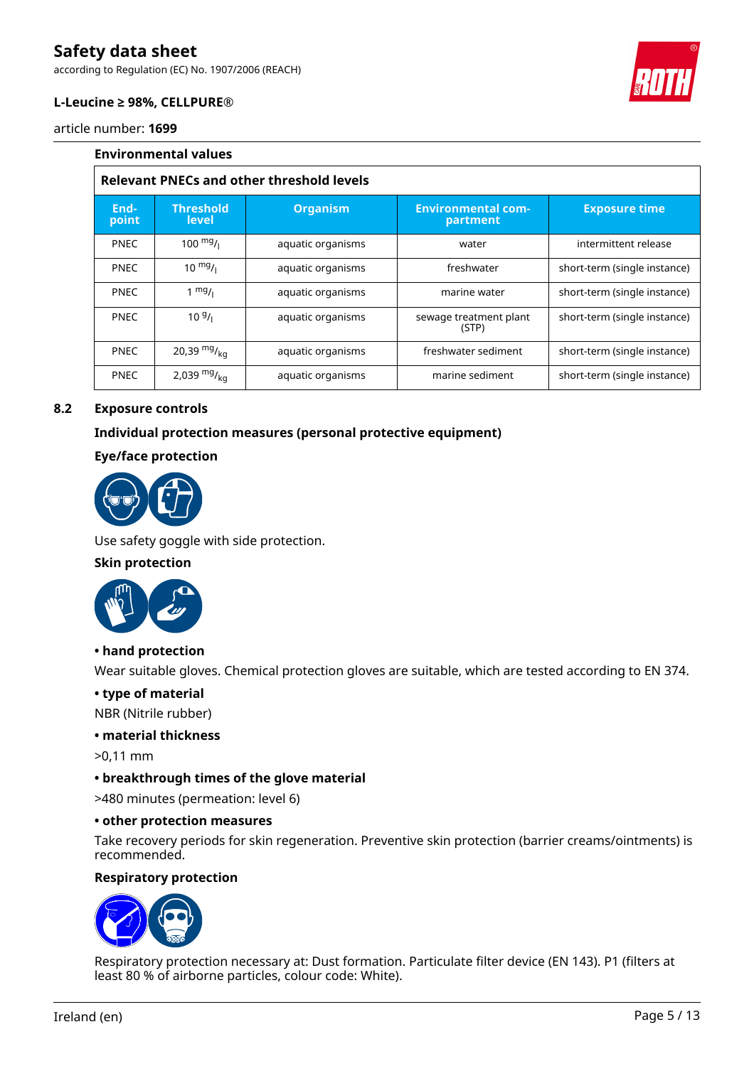according to Regulation (EC) No. 1907/2006 (REACH)



### **L-Leucine ≥ 98%, CELLPURE®**

article number: **1699**

|               | <b>Environmental values</b>                      |                   |                                       |                              |  |
|---------------|--------------------------------------------------|-------------------|---------------------------------------|------------------------------|--|
|               | <b>Relevant PNECs and other threshold levels</b> |                   |                                       |                              |  |
| End-<br>point | <b>Threshold</b><br>level                        | <b>Organism</b>   | <b>Environmental com-</b><br>partment | <b>Exposure time</b>         |  |
| <b>PNEC</b>   | $100 \frac{mg}{l}$                               | aquatic organisms | water                                 | intermittent release         |  |
| <b>PNEC</b>   | $10^{mg}$ /                                      | aquatic organisms | freshwater                            | short-term (single instance) |  |
| <b>PNEC</b>   | $1 \frac{mg}{l}$                                 | aquatic organisms | marine water                          | short-term (single instance) |  |
| <b>PNEC</b>   | $10\frac{g}{l}$                                  | aquatic organisms | sewage treatment plant<br>(STP)       | short-term (single instance) |  |
| <b>PNEC</b>   | 20,39 $mg/kq$                                    | aquatic organisms | freshwater sediment                   | short-term (single instance) |  |
| <b>PNEC</b>   | 2,039 $mg/kq$                                    | aquatic organisms | marine sediment                       | short-term (single instance) |  |

### **8.2 Exposure controls**

### **Individual protection measures (personal protective equipment)**

### **Eye/face protection**



Use safety goggle with side protection.

### **Skin protection**



### **• hand protection**

Wear suitable gloves. Chemical protection gloves are suitable, which are tested according to EN 374.

### **• type of material**

NBR (Nitrile rubber)

### **• material thickness**

>0,11 mm

### **• breakthrough times of the glove material**

>480 minutes (permeation: level 6)

#### **• other protection measures**

Take recovery periods for skin regeneration. Preventive skin protection (barrier creams/ointments) is recommended.

### **Respiratory protection**



Respiratory protection necessary at: Dust formation. Particulate filter device (EN 143). P1 (filters at least 80 % of airborne particles, colour code: White).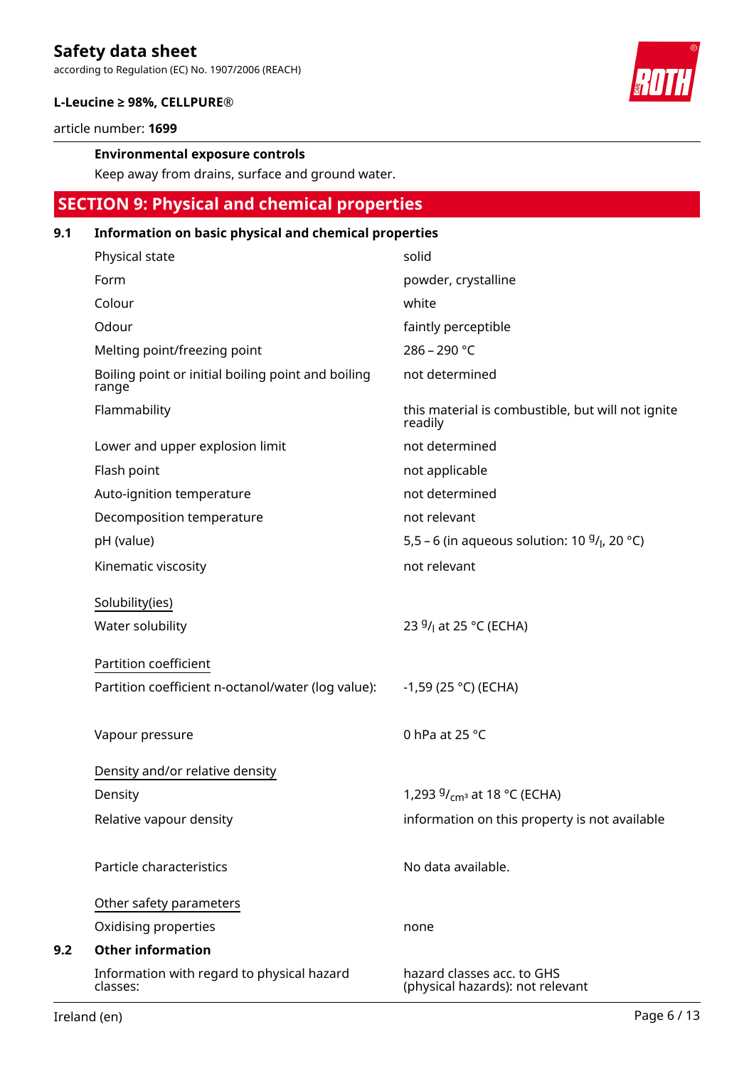according to Regulation (EC) No. 1907/2006 (REACH)



### **L-Leucine ≥ 98%, CELLPURE®**

article number: **1699**

### **Environmental exposure controls**

Keep away from drains, surface and ground water.

# **SECTION 9: Physical and chemical properties**

### **9.1 Information on basic physical and chemical properties**

| Physical state                                              | solid                                                          |
|-------------------------------------------------------------|----------------------------------------------------------------|
| Form                                                        | powder, crystalline                                            |
| Colour                                                      | white                                                          |
| Odour                                                       | faintly perceptible                                            |
| Melting point/freezing point                                | 286 - 290 °C                                                   |
| Boiling point or initial boiling point and boiling<br>range | not determined                                                 |
| Flammability                                                | this material is combustible, but will not ignite<br>readily   |
| Lower and upper explosion limit                             | not determined                                                 |
| Flash point                                                 | not applicable                                                 |
| Auto-ignition temperature                                   | not determined                                                 |
| Decomposition temperature                                   | not relevant                                                   |
| pH (value)                                                  | 5,5 – 6 (in aqueous solution: 10 $9/$ <sub>l</sub> , 20 °C)    |
| Kinematic viscosity                                         | not relevant                                                   |
| Solubility(ies)                                             |                                                                |
| Water solubility                                            | 23 <sup>g</sup> / <sub>l</sub> at 25 °C (ECHA)                 |
| Partition coefficient                                       |                                                                |
| Partition coefficient n-octanol/water (log value):          | $-1,59$ (25 °C) (ECHA)                                         |
| Vapour pressure                                             | 0 hPa at 25 °C                                                 |
| Density and/or relative density                             |                                                                |
| Density                                                     | 1,293 $9/_{cm^3}$ at 18 °C (ECHA)                              |
| Relative vapour density                                     | information on this property is not available                  |
| Particle characteristics                                    | No data available.                                             |
| Other safety parameters                                     |                                                                |
| Oxidising properties                                        | none                                                           |
| <b>Other information</b>                                    |                                                                |
| Information with regard to physical hazard<br>classes:      | hazard classes acc. to GHS<br>(physical hazards): not relevant |

**9.2**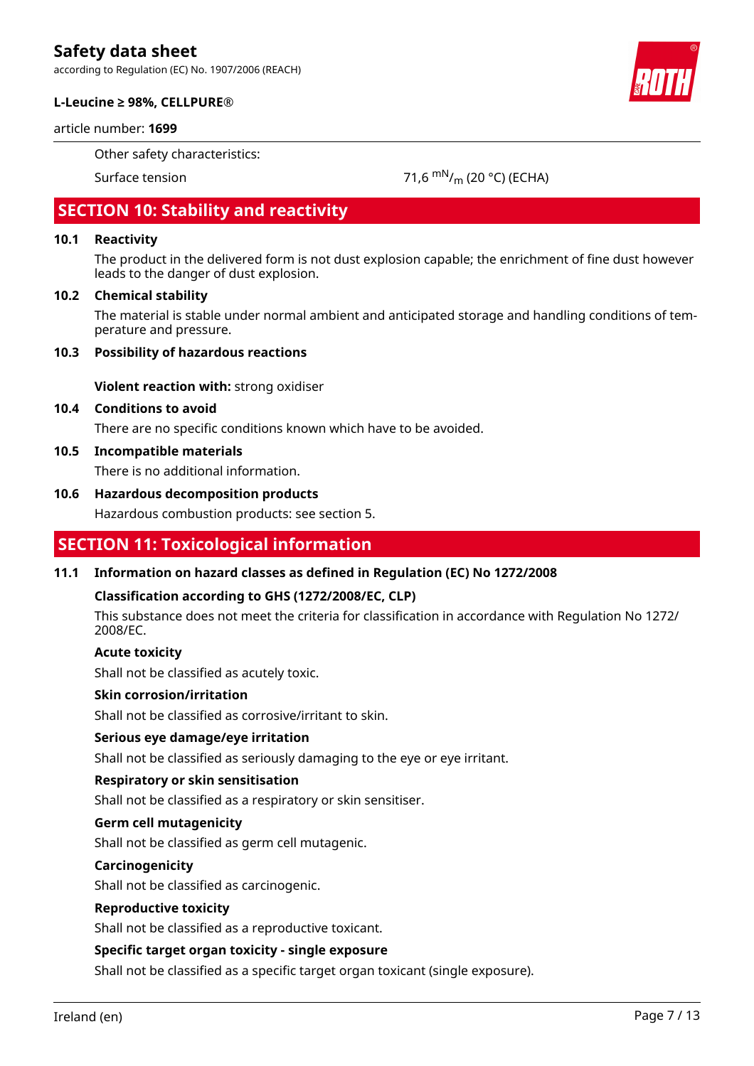according to Regulation (EC) No. 1907/2006 (REACH)



### **L-Leucine ≥ 98%, CELLPURE®**

### article number: **1699**

Other safety characteristics:

Surface tension 71,6  $\mathrm{mN}_{\text{m}}$  (20 °C) (ECHA)

# **SECTION 10: Stability and reactivity**

### **10.1 Reactivity**

The product in the delivered form is not dust explosion capable; the enrichment of fine dust however leads to the danger of dust explosion.

### **10.2 Chemical stability**

The material is stable under normal ambient and anticipated storage and handling conditions of temperature and pressure.

### **10.3 Possibility of hazardous reactions**

**Violent reaction with:** strong oxidiser

### **10.4 Conditions to avoid**

There are no specific conditions known which have to be avoided.

### **10.5 Incompatible materials**

There is no additional information.

### **10.6 Hazardous decomposition products**

Hazardous combustion products: see section 5.

### **SECTION 11: Toxicological information**

### **11.1 Information on hazard classes as defined in Regulation (EC) No 1272/2008**

### **Classification according to GHS (1272/2008/EC, CLP)**

This substance does not meet the criteria for classification in accordance with Regulation No 1272/ 2008/EC.

#### **Acute toxicity**

Shall not be classified as acutely toxic.

#### **Skin corrosion/irritation**

Shall not be classified as corrosive/irritant to skin.

### **Serious eye damage/eye irritation**

Shall not be classified as seriously damaging to the eye or eye irritant.

### **Respiratory or skin sensitisation**

Shall not be classified as a respiratory or skin sensitiser.

#### **Germ cell mutagenicity**

Shall not be classified as germ cell mutagenic.

### **Carcinogenicity**

Shall not be classified as carcinogenic.

### **Reproductive toxicity**

Shall not be classified as a reproductive toxicant.

### **Specific target organ toxicity - single exposure**

Shall not be classified as a specific target organ toxicant (single exposure).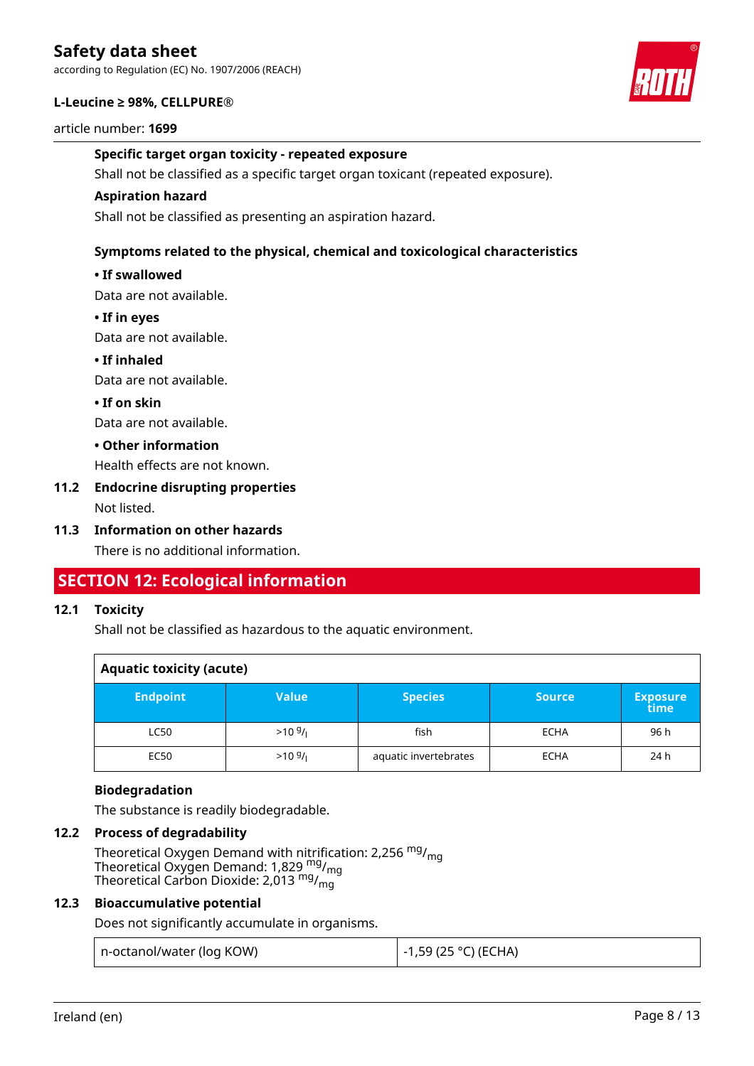according to Regulation (EC) No. 1907/2006 (REACH)

### **L-Leucine ≥ 98%, CELLPURE®**

article number: **1699**

### **Specific target organ toxicity - repeated exposure**

Shall not be classified as a specific target organ toxicant (repeated exposure).

### **Aspiration hazard**

Shall not be classified as presenting an aspiration hazard.

### **Symptoms related to the physical, chemical and toxicological characteristics**

### **• If swallowed**

Data are not available.

### **• If in eyes**

Data are not available.

### **• If inhaled**

Data are not available.

### **• If on skin**

Data are not available.

### **• Other information**

Health effects are not known.

### **11.2 Endocrine disrupting properties**

Not listed.

### **11.3 Information on other hazards**

There is no additional information.

### **SECTION 12: Ecological information**

### **12.1 Toxicity**

Shall not be classified as hazardous to the aquatic environment.

| <b>Aquatic toxicity (acute)</b> |              |                       |               |                         |
|---------------------------------|--------------|-----------------------|---------------|-------------------------|
| <b>Endpoint</b>                 | <b>Value</b> | <b>Species</b>        | <b>Source</b> | <b>Exposure</b><br>time |
| <b>LC50</b>                     | $>10^{9}$ /  | fish                  | <b>ECHA</b>   | 96 h                    |
| <b>EC50</b>                     | $>10^{9}$ /  | aquatic invertebrates | <b>ECHA</b>   | 24 h                    |

### **Biodegradation**

The substance is readily biodegradable.

### **12.2 Process of degradability**

Theoretical Oxygen Demand with nitrification: 2,256 <sup>mg</sup>/<sub>mg</sub> Theoretical Oxygen Demand: 1,829 <sup>mg</sup>/<sub>mg</sub> Theoretical Carbon Dioxide: 2,013  $^{\mathsf{mg}}\prime_{\mathsf{mg}}$ 

### **12.3 Bioaccumulative potential**

Does not significantly accumulate in organisms.

| n-octanol/water (log KOW) | <sup>∣</sup> −1,59 (25 °C) (ECHA) |
|---------------------------|-----------------------------------|
|---------------------------|-----------------------------------|

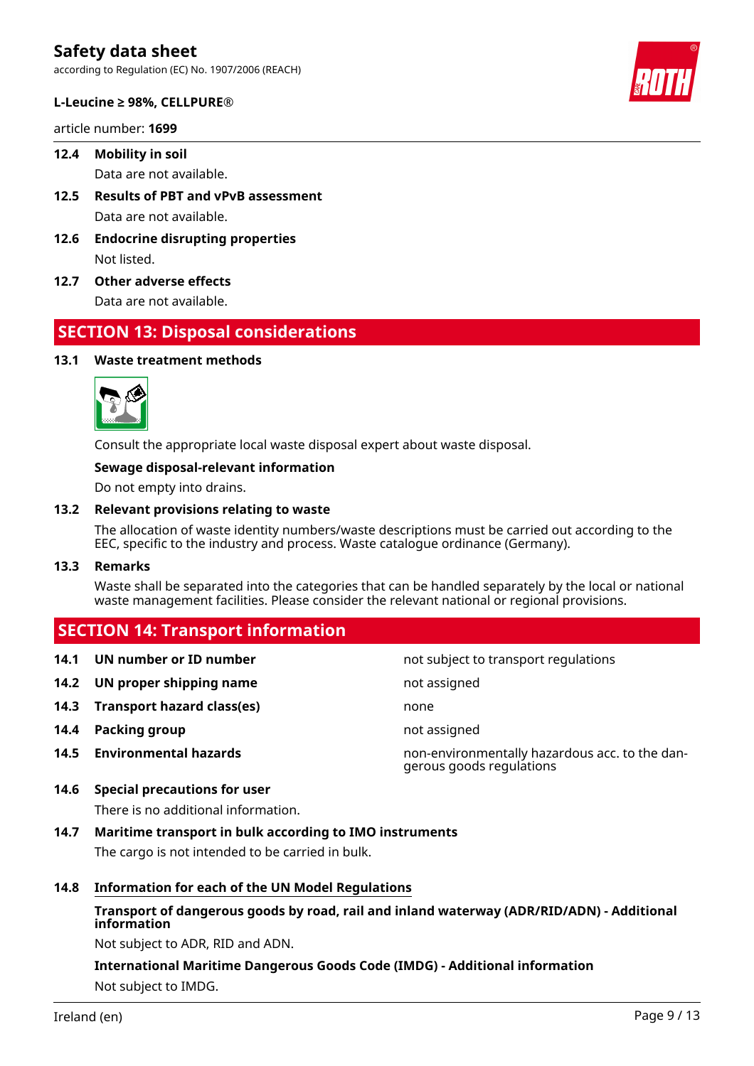according to Regulation (EC) No. 1907/2006 (REACH)



article number: **1699**

### **12.4 Mobility in soil**

Data are not available.

- **12.5 Results of PBT and vPvB assessment** Data are not available.
- **12.6 Endocrine disrupting properties** Not listed.
- **12.7 Other adverse effects**

Data are not available.

### **SECTION 13: Disposal considerations**

### **13.1 Waste treatment methods**



Consult the appropriate local waste disposal expert about waste disposal.

### **Sewage disposal-relevant information**

Do not empty into drains.

### **13.2 Relevant provisions relating to waste**

The allocation of waste identity numbers/waste descriptions must be carried out according to the EEC, specific to the industry and process. Waste catalogue ordinance (Germany).

### **13.3 Remarks**

Waste shall be separated into the categories that can be handled separately by the local or national waste management facilities. Please consider the relevant national or regional provisions.

### **SECTION 14: Transport information**

| 14.1 | UN number or ID number          | not subject to transport regulations                                       |
|------|---------------------------------|----------------------------------------------------------------------------|
|      | 14.2 UN proper shipping name    | not assigned                                                               |
|      | 14.3 Transport hazard class(es) | none                                                                       |
|      | 14.4 Packing group              | not assigned                                                               |
| 14.5 | <b>Environmental hazards</b>    | non-environmentally hazardous acc. to the dan-<br>gerous goods regulations |

# **14.6 Special precautions for user**

There is no additional information.

### **14.7 Maritime transport in bulk according to IMO instruments**

The cargo is not intended to be carried in bulk.

### **14.8 Information for each of the UN Model Regulations**

### **Transport of dangerous goods by road, rail and inland waterway (ADR/RID/ADN) - Additional information**

Not subject to ADR, RID and ADN.

### **International Maritime Dangerous Goods Code (IMDG) - Additional information** Not subject to IMDG.



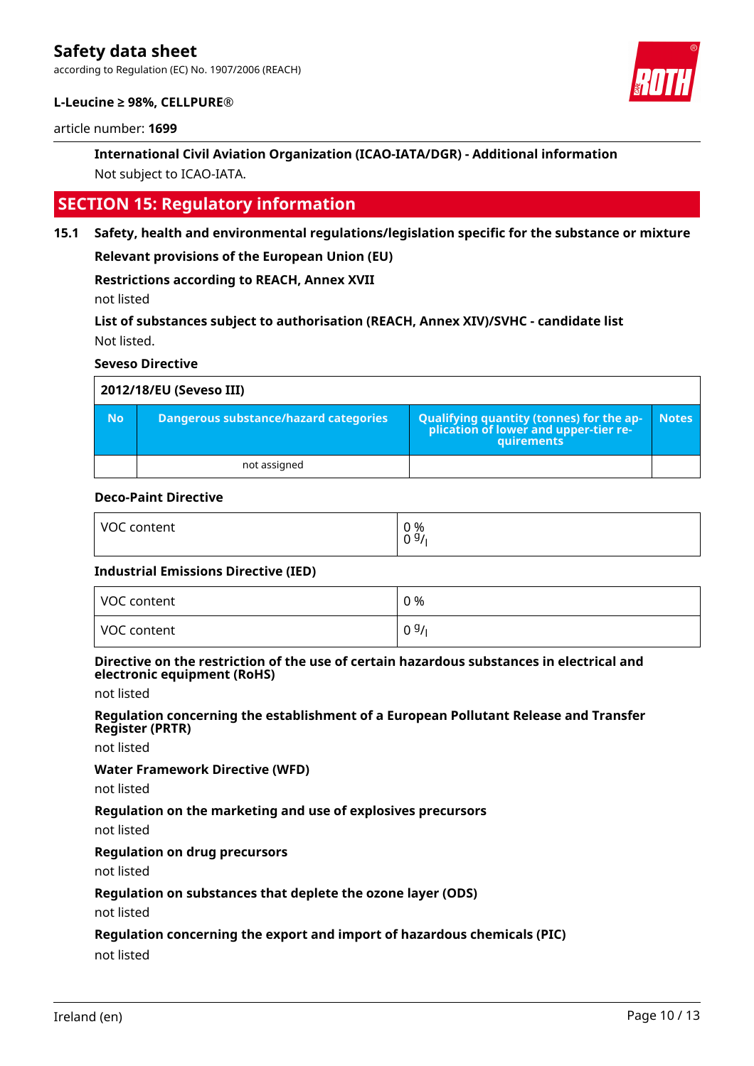according to Regulation (EC) No. 1907/2006 (REACH)



### **L-Leucine ≥ 98%, CELLPURE®**

article number: **1699**

### **International Civil Aviation Organization (ICAO-IATA/DGR) - Additional information** Not subject to ICAO-IATA.

### **SECTION 15: Regulatory information**

**15.1 Safety, health and environmental regulations/legislation specific for the substance or mixture**

**Relevant provisions of the European Union (EU)**

**Restrictions according to REACH, Annex XVII**

not listed

**List of substances subject to authorisation (REACH, Annex XIV)/SVHC - candidate list** Not listed.

**Seveso Directive**

| 2012/18/EU (Seveso III) |                                       |                                                                                            |              |  |
|-------------------------|---------------------------------------|--------------------------------------------------------------------------------------------|--------------|--|
| <b>No</b>               | Dangerous substance/hazard categories | Qualifying quantity (tonnes) for the application of lower and upper-tier re-<br>quirements | <b>Notes</b> |  |
|                         | not assigned                          |                                                                                            |              |  |

### **Deco-Paint Directive**

| VOC content | 0 %<br>0 <sup>9</sup> |
|-------------|-----------------------|
|             |                       |

#### **Industrial Emissions Directive (IED)**

| VOC content | 0 %  |
|-------------|------|
| VOC content | 09/1 |

### **Directive on the restriction of the use of certain hazardous substances in electrical and electronic equipment (RoHS)**

not listed

#### **Regulation concerning the establishment of a European Pollutant Release and Transfer Register (PRTR)**

not listed

#### **Water Framework Directive (WFD)**

not listed

### **Regulation on the marketing and use of explosives precursors**

not listed

### **Regulation on drug precursors**

not listed

### **Regulation on substances that deplete the ozone layer (ODS)**

not listed

### **Regulation concerning the export and import of hazardous chemicals (PIC)**

not listed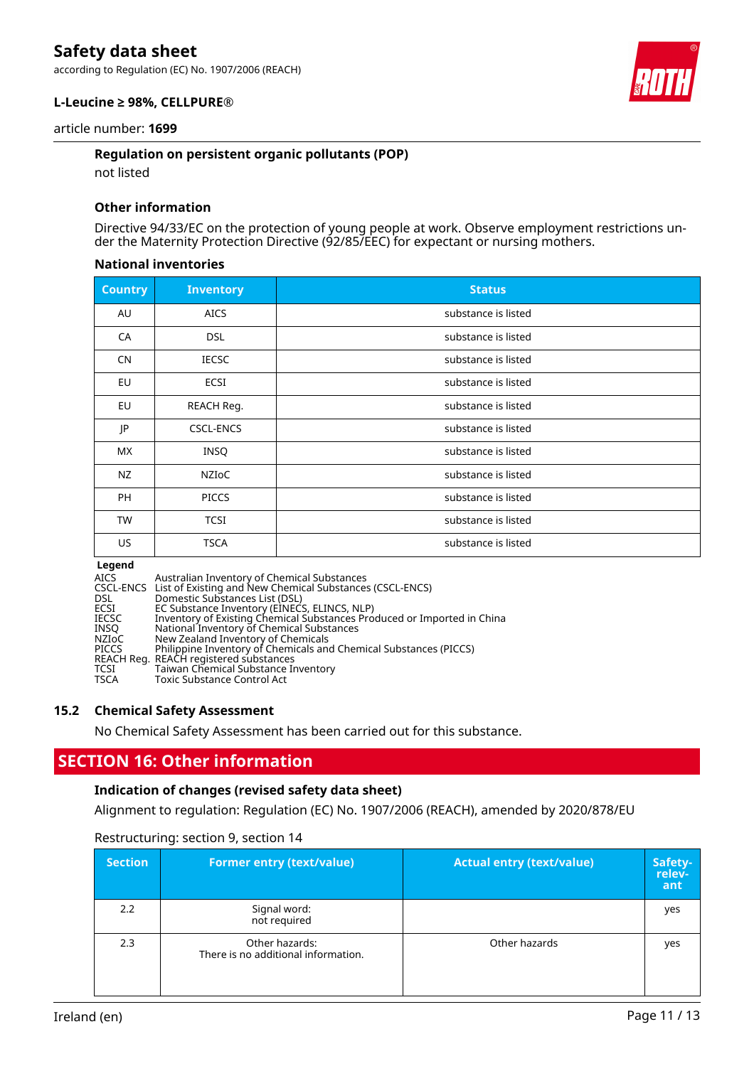according to Regulation (EC) No. 1907/2006 (REACH)



### **L-Leucine ≥ 98%, CELLPURE®**

article number: **1699**

### **Regulation on persistent organic pollutants (POP)**

not listed

### **Other information**

Directive 94/33/EC on the protection of young people at work. Observe employment restrictions under the Maternity Protection Directive (92/85/EEC) for expectant or nursing mothers.

### **National inventories**

| <b>Country</b> | <b>Inventory</b> | <b>Status</b>       |
|----------------|------------------|---------------------|
| AU             | <b>AICS</b>      | substance is listed |
| CA             | <b>DSL</b>       | substance is listed |
| <b>CN</b>      | <b>IECSC</b>     | substance is listed |
| EU             | ECSI             | substance is listed |
| EU             | REACH Reg.       | substance is listed |
| JP             | <b>CSCL-ENCS</b> | substance is listed |
| <b>MX</b>      | <b>INSQ</b>      | substance is listed |
| NZ             | NZIOC            | substance is listed |
| <b>PH</b>      | <b>PICCS</b>     | substance is listed |
| TW             | <b>TCSI</b>      | substance is listed |
| US             | <b>TSCA</b>      | substance is listed |

**Legend<br>AICS<br>CSCL-ENCS<br>DSL<br>ECSI** AICS Australian Inventory of Chemical Substances CSCL-ENCS List of Existing and New Chemical Substances (CSCL-ENCS) DSL Domestic Substances List (DSL) ECSI EC Substance Inventory (EINECS, ELINCS, NLP) IECSC Inventory of Existing Chemical Substances Produced or Imported in China INSQ National Inventory of Chemical Substances NZIoC New Zealand Inventory of Chemicals PICCS Philippine Inventory of Chemicals and Chemical Substances (PICCS) REACH Reg. REACH registered substances TCSI Taiwan Chemical Substance Inventory<br>TSCA Toxic Substance Control Act Toxic Substance Control Act

### **15.2 Chemical Safety Assessment**

No Chemical Safety Assessment has been carried out for this substance.

### **SECTION 16: Other information**

### **Indication of changes (revised safety data sheet)**

Alignment to regulation: Regulation (EC) No. 1907/2006 (REACH), amended by 2020/878/EU

| <b>Section</b> | <b>Former entry (text/value)</b>                      | <b>Actual entry (text/value)</b> | Safety-<br>relev-<br>ant |
|----------------|-------------------------------------------------------|----------------------------------|--------------------------|
| 2.2            | Signal word:<br>not required                          |                                  | yes                      |
| 2.3            | Other hazards:<br>There is no additional information. | Other hazards                    | yes                      |

Restructuring: section 9, section 14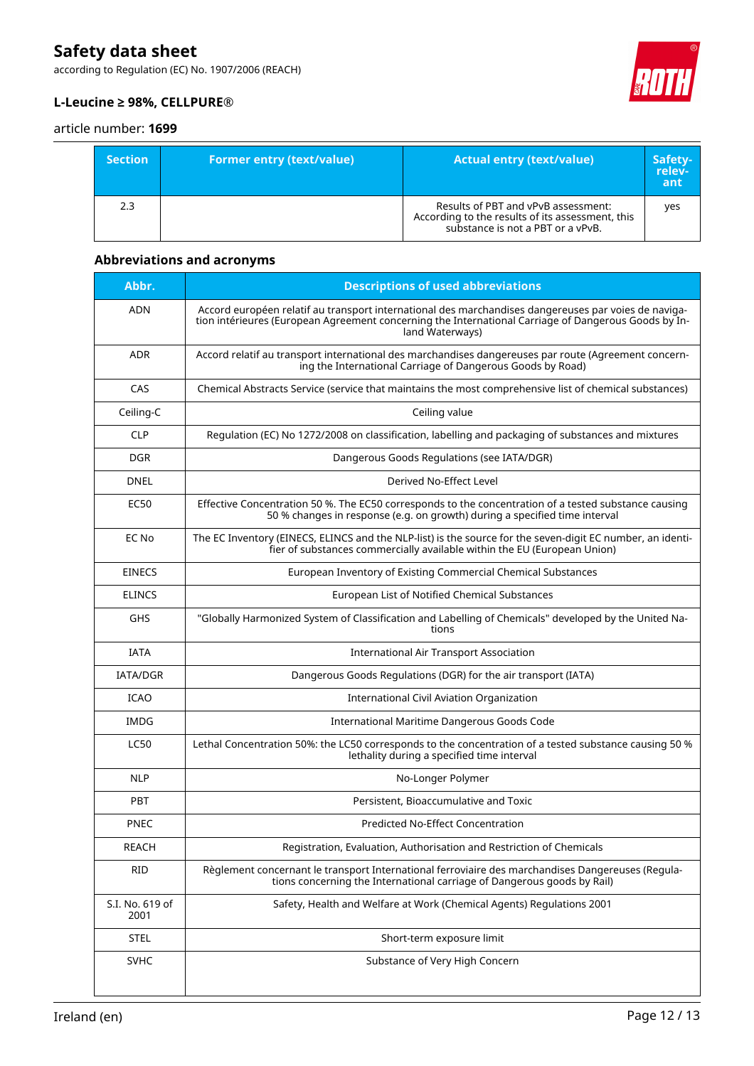according to Regulation (EC) No. 1907/2006 (REACH)



### **L-Leucine ≥ 98%, CELLPURE®**

### article number: **1699**

| <b>Section</b> | <b>Former entry (text/value)</b> | <b>Actual entry (text/value)</b>                                                                                             | Safety-<br>relev-<br>ant |
|----------------|----------------------------------|------------------------------------------------------------------------------------------------------------------------------|--------------------------|
| 2.3            |                                  | Results of PBT and vPvB assessment:<br>According to the results of its assessment, this<br>substance is not a PBT or a vPvB. | ves                      |

### **Abbreviations and acronyms**

| Abbr.                   | <b>Descriptions of used abbreviations</b>                                                                                                                                                                                       |
|-------------------------|---------------------------------------------------------------------------------------------------------------------------------------------------------------------------------------------------------------------------------|
| <b>ADN</b>              | Accord européen relatif au transport international des marchandises dangereuses par voies de naviga-<br>tion intérieures (European Agreement concerning the International Carriage of Dangerous Goods by In-<br>land Waterways) |
| <b>ADR</b>              | Accord relatif au transport international des marchandises dangereuses par route (Agreement concern-<br>ing the International Carriage of Dangerous Goods by Road)                                                              |
| CAS                     | Chemical Abstracts Service (service that maintains the most comprehensive list of chemical substances)                                                                                                                          |
| Ceiling-C               | Ceiling value                                                                                                                                                                                                                   |
| <b>CLP</b>              | Regulation (EC) No 1272/2008 on classification, labelling and packaging of substances and mixtures                                                                                                                              |
| <b>DGR</b>              | Dangerous Goods Regulations (see IATA/DGR)                                                                                                                                                                                      |
| DNEL                    | Derived No-Effect Level                                                                                                                                                                                                         |
| <b>EC50</b>             | Effective Concentration 50 %. The EC50 corresponds to the concentration of a tested substance causing<br>50 % changes in response (e.g. on growth) during a specified time interval                                             |
| EC No                   | The EC Inventory (EINECS, ELINCS and the NLP-list) is the source for the seven-digit EC number, an identi-<br>fier of substances commercially available within the EU (European Union)                                          |
| <b>EINECS</b>           | European Inventory of Existing Commercial Chemical Substances                                                                                                                                                                   |
| <b>ELINCS</b>           | European List of Notified Chemical Substances                                                                                                                                                                                   |
| GHS                     | "Globally Harmonized System of Classification and Labelling of Chemicals" developed by the United Na-<br>tions                                                                                                                  |
| <b>IATA</b>             | <b>International Air Transport Association</b>                                                                                                                                                                                  |
| <b>IATA/DGR</b>         | Dangerous Goods Regulations (DGR) for the air transport (IATA)                                                                                                                                                                  |
| <b>ICAO</b>             | International Civil Aviation Organization                                                                                                                                                                                       |
| <b>IMDG</b>             | International Maritime Dangerous Goods Code                                                                                                                                                                                     |
| <b>LC50</b>             | Lethal Concentration 50%: the LC50 corresponds to the concentration of a tested substance causing 50 %<br>lethality during a specified time interval                                                                            |
| <b>NLP</b>              | No-Longer Polymer                                                                                                                                                                                                               |
| <b>PBT</b>              | Persistent, Bioaccumulative and Toxic                                                                                                                                                                                           |
| <b>PNEC</b>             | <b>Predicted No-Effect Concentration</b>                                                                                                                                                                                        |
| <b>REACH</b>            | Registration, Evaluation, Authorisation and Restriction of Chemicals                                                                                                                                                            |
| <b>RID</b>              | Règlement concernant le transport International ferroviaire des marchandises Dangereuses (Regula-<br>tions concerning the International carriage of Dangerous goods by Rail)                                                    |
| S.I. No. 619 of<br>2001 | Safety, Health and Welfare at Work (Chemical Agents) Regulations 2001                                                                                                                                                           |
| <b>STEL</b>             | Short-term exposure limit                                                                                                                                                                                                       |
| <b>SVHC</b>             | Substance of Very High Concern                                                                                                                                                                                                  |